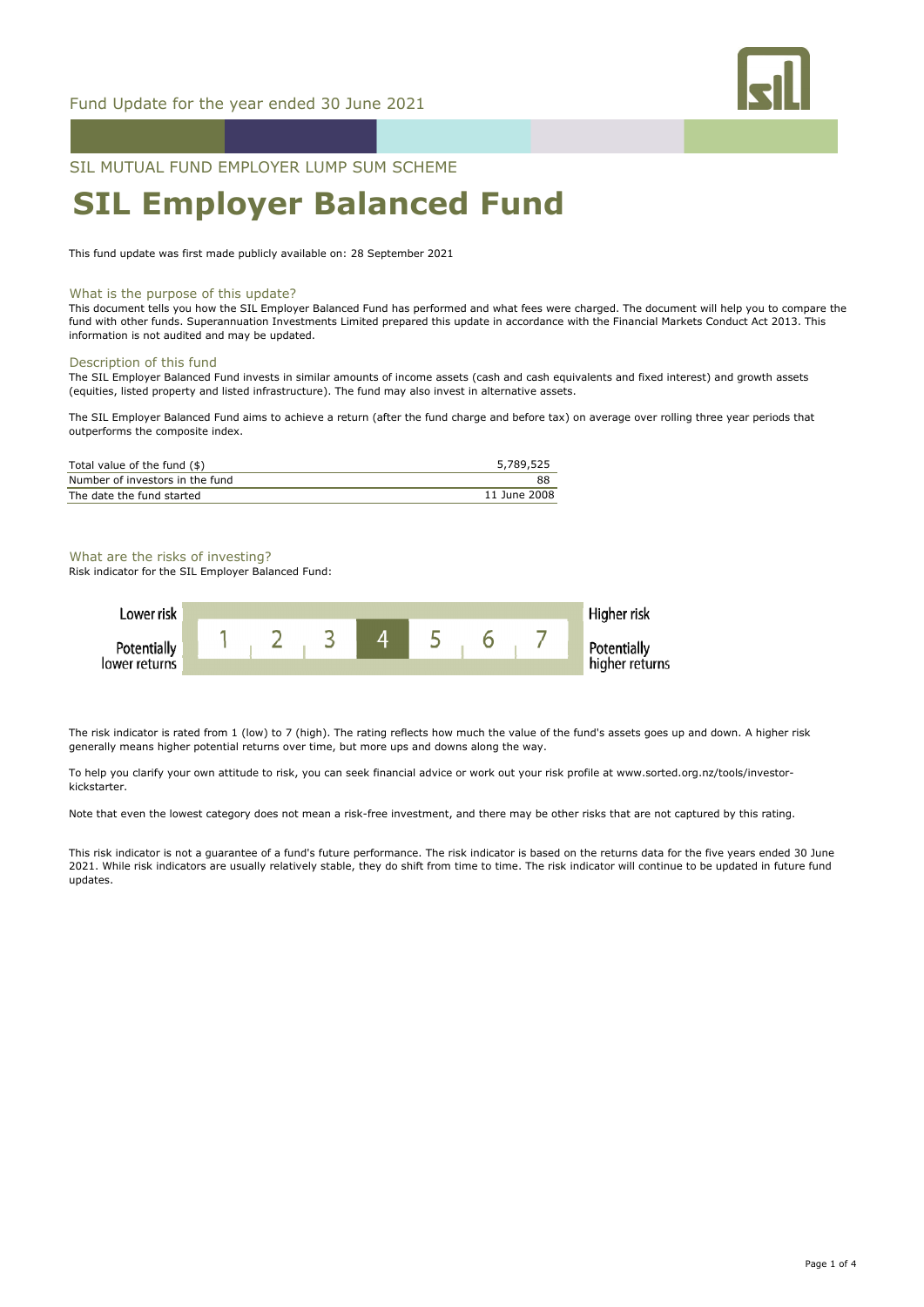

SIL MUTUAL FUND EMPLOYER LUMP SUM SCHEME

# **SIL Employer Balanced Fund**

This fund update was first made publicly available on: 28 September 2021

#### What is the purpose of this update?

This document tells you how the SIL Employer Balanced Fund has performed and what fees were charged. The document will help you to compare the fund with other funds. Superannuation Investments Limited prepared this update in accordance with the Financial Markets Conduct Act 2013. This information is not audited and may be updated.

## Description of this fund

The SIL Employer Balanced Fund invests in similar amounts of income assets (cash and cash equivalents and fixed interest) and growth assets (equities, listed property and listed infrastructure). The fund may also invest in alternative assets.

The SIL Employer Balanced Fund aims to achieve a return (after the fund charge and before tax) on average over rolling three year periods that outperforms the composite index.

| Total value of the fund (\$)    | 5,789,525    |
|---------------------------------|--------------|
| Number of investors in the fund | 88           |
| The date the fund started       | 11 June 2008 |

## What are the risks of investing?

Risk indicator for the SIL Employer Balanced Fund:



The risk indicator is rated from 1 (low) to 7 (high). The rating reflects how much the value of the fund's assets goes up and down. A higher risk generally means higher potential returns over time, but more ups and downs along the way.

To help you clarify your own attitude to risk, you can seek financial advice or work out your risk profile at www.sorted.org.nz/tools/investorkickstarter.

Note that even the lowest category does not mean a risk-free investment, and there may be other risks that are not captured by this rating.

This risk indicator is not a guarantee of a fund's future performance. The risk indicator is based on the returns data for the five years ended 30 June 2021. While risk indicators are usually relatively stable, they do shift from time to time. The risk indicator will continue to be updated in future fund updates.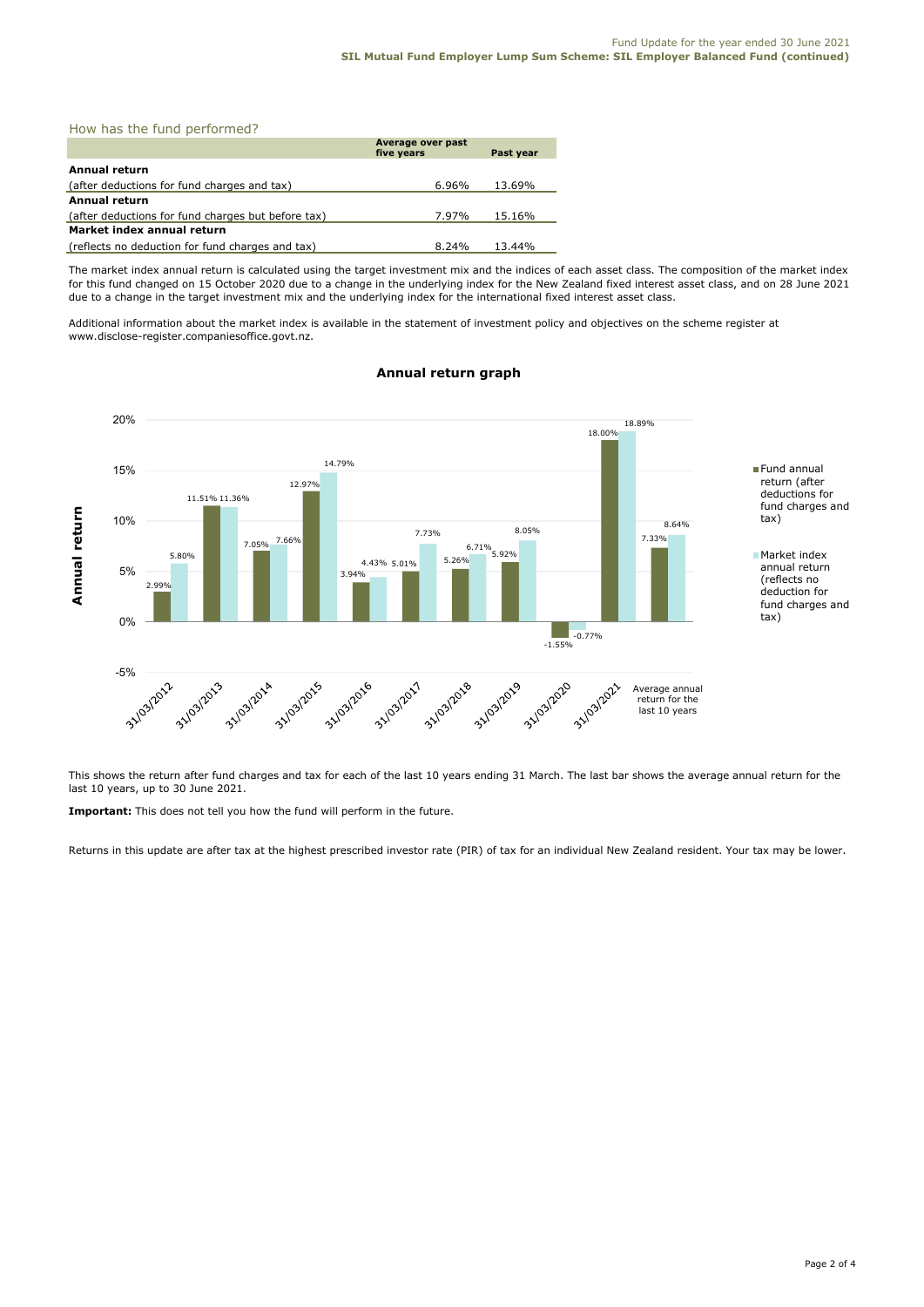|  |  |  |  | How has the fund performed? |  |
|--|--|--|--|-----------------------------|--|
|--|--|--|--|-----------------------------|--|

|                                                    | Average over past<br>five years | Past year |
|----------------------------------------------------|---------------------------------|-----------|
| Annual return                                      |                                 |           |
| (after deductions for fund charges and tax)        | 6.96%                           | 13.69%    |
| Annual return                                      |                                 |           |
| (after deductions for fund charges but before tax) | 7.97%                           | 15.16%    |
| Market index annual return                         |                                 |           |
| (reflects no deduction for fund charges and tax)   | 8.24%                           | 13.44%    |

The market index annual return is calculated using the target investment mix and the indices of each asset class. The composition of the market index for this fund changed on 15 October 2020 due to a change in the underlying index for the New Zealand fixed interest asset class, and on 28 June 2021 due to a change in the target investment mix and the underlying index for the international fixed interest asset class.

Additional information about the market index is available in the statement of investment policy and objectives on the scheme register at www.disclose-register.companiesoffice.govt.nz.



# **Annual return graph**

This shows the return after fund charges and tax for each of the last 10 years ending 31 March. The last bar shows the average annual return for the last 10 years, up to 30 June 2021.

**Important:** This does not tell you how the fund will perform in the future.

Returns in this update are after tax at the highest prescribed investor rate (PIR) of tax for an individual New Zealand resident. Your tax may be lower.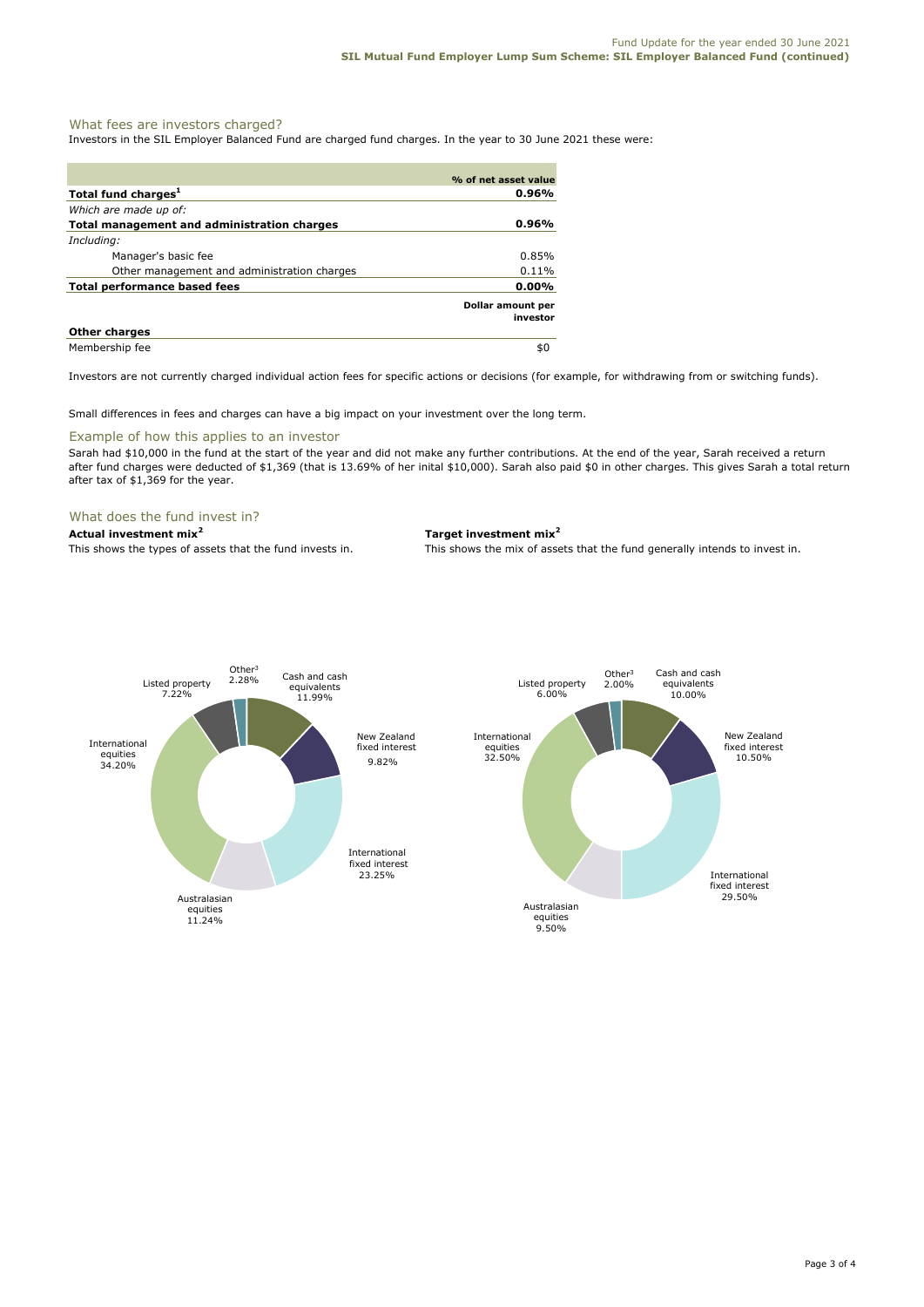## What fees are investors charged?

Investors in the SIL Employer Balanced Fund are charged fund charges. In the year to 30 June 2021 these were:

|                                             | % of net asset value          |
|---------------------------------------------|-------------------------------|
| Total fund charges <sup>1</sup>             | 0.96%                         |
| Which are made up of:                       |                               |
| Total management and administration charges | 0.96%                         |
| Including:                                  |                               |
| Manager's basic fee                         | 0.85%                         |
| Other management and administration charges | 0.11%                         |
| <b>Total performance based fees</b>         | $0.00\%$                      |
|                                             | Dollar amount per<br>investor |
| <b>Other charges</b>                        |                               |
| Membership fee                              | \$0                           |

Investors are not currently charged individual action fees for specific actions or decisions (for example, for withdrawing from or switching funds).

Small differences in fees and charges can have a big impact on your investment over the long term.

#### Example of how this applies to an investor

Sarah had \$10,000 in the fund at the start of the year and did not make any further contributions. At the end of the year, Sarah received a return after fund charges were deducted of \$1,369 (that is 13.69% of her inital \$10,000). Sarah also paid \$0 in other charges. This gives Sarah a total return after tax of \$1,369 for the year.

#### What does the fund invest in?

## **Actual investment mix<sup>2</sup> Target investment mix<sup>2</sup>**

This shows the types of assets that the fund invests in. This shows the mix of assets that the fund generally intends to invest in.